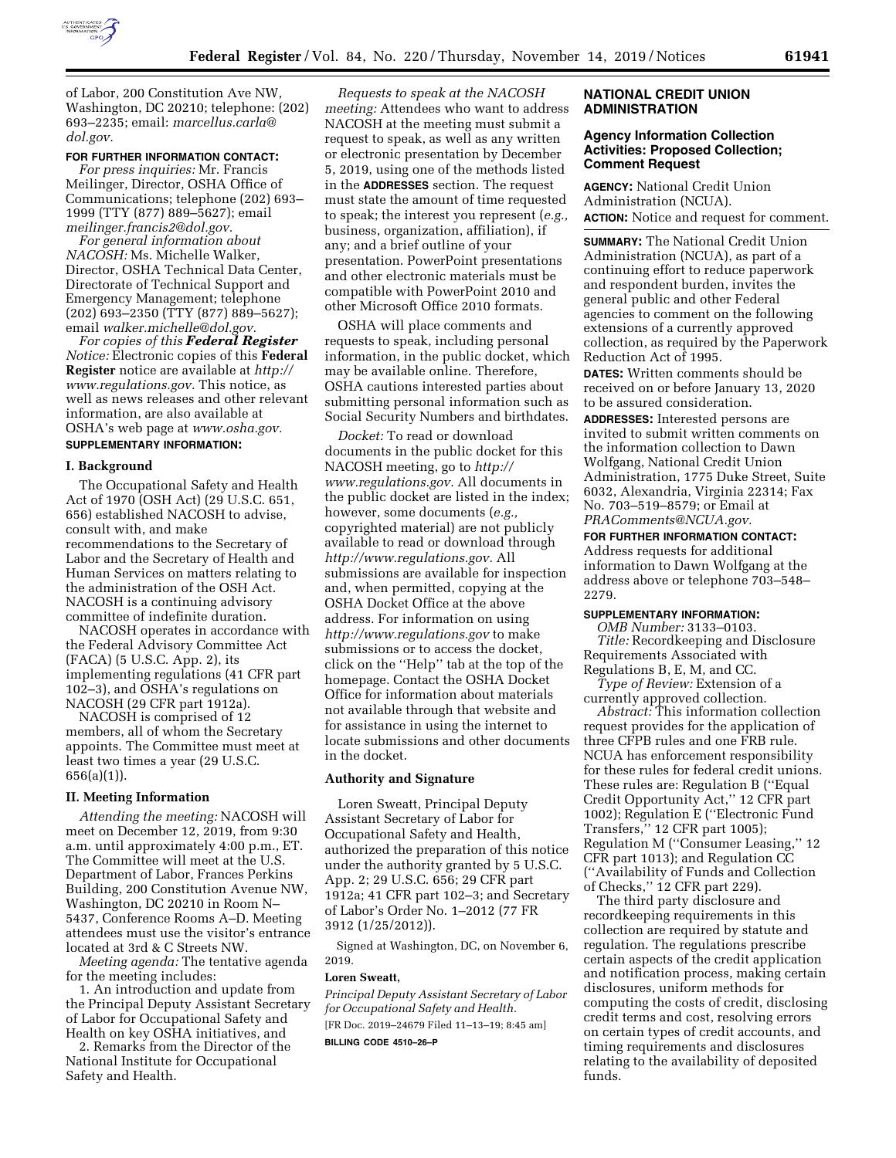

of Labor, 200 Constitution Ave NW, Washington, DC 20210; telephone: (202) 693–2235; email: *[marcellus.carla@](mailto:marcellus.carla@dol.gov) [dol.gov.](mailto:marcellus.carla@dol.gov)* 

### **FOR FURTHER INFORMATION CONTACT:**

*For press inquiries:* Mr. Francis Meilinger, Director, OSHA Office of Communications; telephone (202) 693– 1999 (TTY (877) 889–5627); email *[meilinger.francis2@dol.gov.](mailto:meilinger.francis2@dol.gov)* 

*For general information about NACOSH:* Ms. Michelle Walker, Director, OSHA Technical Data Center, Directorate of Technical Support and Emergency Management; telephone (202) 693–2350 (TTY (877) 889–5627); email *[walker.michelle@dol.gov.](mailto:walker.michelle@dol.gov)* 

*For copies of this Federal Register Notice:* Electronic copies of this **Federal Register** notice are available at *[http://](http://www.regulations.gov) [www.regulations.gov.](http://www.regulations.gov)* This notice, as well as news releases and other relevant information, are also available at OSHA's web page at *[www.osha.gov.](http://www.osha.gov)*  **SUPPLEMENTARY INFORMATION:** 

### **I. Background**

The Occupational Safety and Health Act of 1970 (OSH Act) (29 U.S.C. 651, 656) established NACOSH to advise, consult with, and make recommendations to the Secretary of Labor and the Secretary of Health and Human Services on matters relating to the administration of the OSH Act. NACOSH is a continuing advisory committee of indefinite duration.

NACOSH operates in accordance with the Federal Advisory Committee Act (FACA) (5 U.S.C. App. 2), its implementing regulations (41 CFR part 102–3), and OSHA's regulations on NACOSH (29 CFR part 1912a).

NACOSH is comprised of 12 members, all of whom the Secretary appoints. The Committee must meet at least two times a year (29 U.S.C. 656(a)(1)).

### **II. Meeting Information**

*Attending the meeting:* NACOSH will meet on December 12, 2019, from 9:30 a.m. until approximately 4:00 p.m., ET. The Committee will meet at the U.S. Department of Labor, Frances Perkins Building, 200 Constitution Avenue NW, Washington, DC 20210 in Room N– 5437, Conference Rooms A–D. Meeting attendees must use the visitor's entrance located at 3rd & C Streets NW.

*Meeting agenda:* The tentative agenda for the meeting includes:

1. An introduction and update from the Principal Deputy Assistant Secretary of Labor for Occupational Safety and Health on key OSHA initiatives, and

2. Remarks from the Director of the National Institute for Occupational Safety and Health.

*Requests to speak at the NACOSH meeting:* Attendees who want to address NACOSH at the meeting must submit a request to speak, as well as any written or electronic presentation by December 5, 2019, using one of the methods listed in the **ADDRESSES** section. The request must state the amount of time requested to speak; the interest you represent (*e.g.,*  business, organization, affiliation), if any; and a brief outline of your presentation. PowerPoint presentations and other electronic materials must be compatible with PowerPoint 2010 and other Microsoft Office 2010 formats.

OSHA will place comments and requests to speak, including personal information, in the public docket, which may be available online. Therefore, OSHA cautions interested parties about submitting personal information such as Social Security Numbers and birthdates.

*Docket:* To read or download documents in the public docket for this NACOSH meeting, go to *[http://](http://www.regulations.gov) [www.regulations.gov.](http://www.regulations.gov)* All documents in the public docket are listed in the index; however, some documents (*e.g.,*  copyrighted material) are not publicly available to read or download through *[http://www.regulations.gov.](http://www.regulations.gov)* All submissions are available for inspection and, when permitted, copying at the OSHA Docket Office at the above address. For information on using *<http://www.regulations.gov>* to make submissions or to access the docket, click on the ''Help'' tab at the top of the homepage. Contact the OSHA Docket Office for information about materials not available through that website and for assistance in using the internet to locate submissions and other documents in the docket.

### **Authority and Signature**

Loren Sweatt, Principal Deputy Assistant Secretary of Labor for Occupational Safety and Health, authorized the preparation of this notice under the authority granted by 5 U.S.C. App. 2; 29 U.S.C. 656; 29 CFR part 1912a; 41 CFR part 102–3; and Secretary of Labor's Order No. 1–2012 (77 FR 3912 (1/25/2012)).

Signed at Washington, DC, on November 6, 2019.

#### **Loren Sweatt,**

*Principal Deputy Assistant Secretary of Labor for Occupational Safety and Health.*  [FR Doc. 2019–24679 Filed 11–13–19; 8:45 am]

**BILLING CODE 4510–26–P** 

## **NATIONAL CREDIT UNION ADMINISTRATION**

# **Agency Information Collection Activities: Proposed Collection; Comment Request**

**AGENCY:** National Credit Union Administration (NCUA). **ACTION:** Notice and request for comment.

**SUMMARY:** The National Credit Union Administration (NCUA), as part of a continuing effort to reduce paperwork and respondent burden, invites the general public and other Federal agencies to comment on the following extensions of a currently approved collection, as required by the Paperwork Reduction Act of 1995.

**DATES:** Written comments should be received on or before January 13, 2020 to be assured consideration.

**ADDRESSES:** Interested persons are invited to submit written comments on the information collection to Dawn Wolfgang, National Credit Union Administration, 1775 Duke Street, Suite 6032, Alexandria, Virginia 22314; Fax No. 703–519–8579; or Email at *[PRAComments@NCUA.gov.](mailto:PRAComments@NCUA.gov)* 

## **FOR FURTHER INFORMATION CONTACT:**

Address requests for additional information to Dawn Wolfgang at the address above or telephone 703–548– 2279.

### **SUPPLEMENTARY INFORMATION:**

*OMB Number:* 3133–0103. *Title:* Recordkeeping and Disclosure Requirements Associated with Regulations B, E, M, and CC.

*Type of Review:* Extension of a currently approved collection.

*Abstract:* This information collection request provides for the application of three CFPB rules and one FRB rule. NCUA has enforcement responsibility for these rules for federal credit unions. These rules are: Regulation B (''Equal Credit Opportunity Act,'' 12 CFR part 1002); Regulation E (''Electronic Fund Transfers,'' 12 CFR part 1005); Regulation M (''Consumer Leasing,'' 12 CFR part 1013); and Regulation CC (''Availability of Funds and Collection of Checks,'' 12 CFR part 229).

The third party disclosure and recordkeeping requirements in this collection are required by statute and regulation. The regulations prescribe certain aspects of the credit application and notification process, making certain disclosures, uniform methods for computing the costs of credit, disclosing credit terms and cost, resolving errors on certain types of credit accounts, and timing requirements and disclosures relating to the availability of deposited funds.